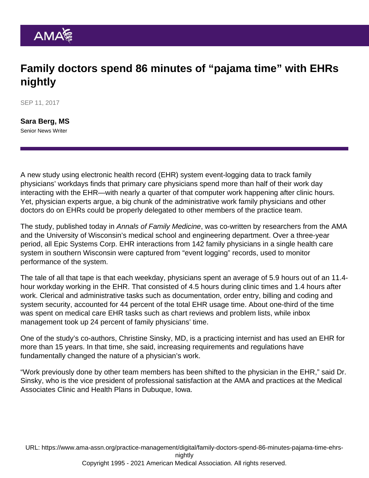## Family doctors spend 86 minutes of "pajama time" with EHRs nightly

SEP 11, 2017

[Sara Berg, MS](https://www.ama-assn.org/news-leadership-viewpoints/authors-news-leadership-viewpoints/sara-berg-ms) Senior News Writer

A new study using electronic health record (EHR) system event-logging data to track family physicians' workdays finds that primary care physicians spend more than half of their work day interacting with the EHR—with nearly a quarter of that computer work happening after clinic hours. Yet, physician experts argue, a big chunk of the administrative work family physicians and other doctors do on EHRs could be properly delegated to other members of the practice team.

The [study,](http://www.annfammed.org/content/15/5/419.full) published today in Annals of Family Medicine, was co-written by researchers from the AMA and the University of Wisconsin's medical school and engineering department. Over a three-year period, all Epic Systems Corp. EHR interactions from 142 family physicians in a single health care system in southern Wisconsin were captured from "event logging" records, used to monitor performance of the system.

The tale of all that tape is that each weekday, physicians spent an average of 5.9 hours out of an 11.4 hour workday working in the EHR. That consisted of 4.5 hours during clinic times and 1.4 hours after work. Clerical and administrative tasks such as documentation, order entry, billing and coding and system security, accounted for 44 percent of the total EHR usage time. About one-third of the time was spent on medical care EHR tasks such as chart reviews and problem lists, while inbox management took up 24 percent of family physicians' time.

One of the study's co-authors, Christine Sinsky, MD, is a practicing internist and has used an EHR for more than 15 years. In that time, she said, increasing requirements and regulations have fundamentally changed the nature of a physician's work.

"Work previously done by other team members has been shifted to the physician in the EHR," said Dr. Sinsky, who is the vice president of professional satisfaction at the AMA and practices at the Medical Associates Clinic and Health Plans in Dubuque, Iowa.

URL: [https://www.ama-assn.org/practice-management/digital/family-doctors-spend-86-minutes-pajama-time-ehrs](https://www.ama-assn.org/practice-management/digital/family-doctors-spend-86-minutes-pajama-time-ehrs-nightly)[nightly](https://www.ama-assn.org/practice-management/digital/family-doctors-spend-86-minutes-pajama-time-ehrs-nightly) Copyright 1995 - 2021 American Medical Association. All rights reserved.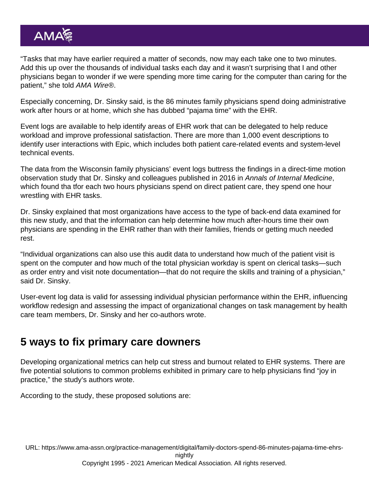"Tasks that may have earlier required a matter of seconds, now may each take one to two minutes. Add this up over the thousands of individual tasks each day and it wasn't surprising that I and other physicians began to wonder if we were spending more time caring for the computer than caring for the patient," she told AMA Wire®.

Especially concerning, Dr. Sinsky said, is the 86 minutes family physicians spend doing administrative work after hours or at home, which she has dubbed "pajama time" with the EHR.

Event logs are available to help identify areas of EHR work that can be delegated to help reduce workload and improve professional satisfaction. There are more than 1,000 event descriptions to identify user interactions with Epic, which includes both patient care-related events and system-level technical events.

The data from the Wisconsin family physicians' event logs buttress the findings in a direct-time motion observation [study](http://annals.org/aim/article/2546704/allocation-physician-time-ambulatory-practice-time-motion-study-4-specialties) that Dr. Sinsky and colleagues published in 2016 in Annals of Internal Medicine, which found tha tfor each two hours physicians spend on direct patient care, they spend one hour wrestling with EHR tasks.

Dr. Sinsky explained that most organizations have access to the type of back-end data examined for this new study, and that the information can help determine how much after-hours time their own physicians are spending in the EHR rather than with their families, friends or getting much needed rest.

"Individual organizations can also use this audit data to understand how much of the patient visit is spent on the computer and how much of the total physician workday is spent on clerical tasks—such as order entry and visit note documentation—that do not require the skills and training of a physician," said Dr. Sinsky.

User-event log data is valid for assessing individual physician performance within the EHR, influencing workflow redesign and assessing the impact of organizational changes on task management by health care team members, Dr. Sinsky and her co-authors wrote.

## 5 ways to fix primary care downers

Developing organizational metrics can help cut stress and burnout related to EHR systems. There are five potential solutions to common problems exhibited in primary care to help physicians find "joy in practice," the study's authors wrote.

According to the study, these proposed solutions are:

URL: [https://www.ama-assn.org/practice-management/digital/family-doctors-spend-86-minutes-pajama-time-ehrs](https://www.ama-assn.org/practice-management/digital/family-doctors-spend-86-minutes-pajama-time-ehrs-nightly)[nightly](https://www.ama-assn.org/practice-management/digital/family-doctors-spend-86-minutes-pajama-time-ehrs-nightly)